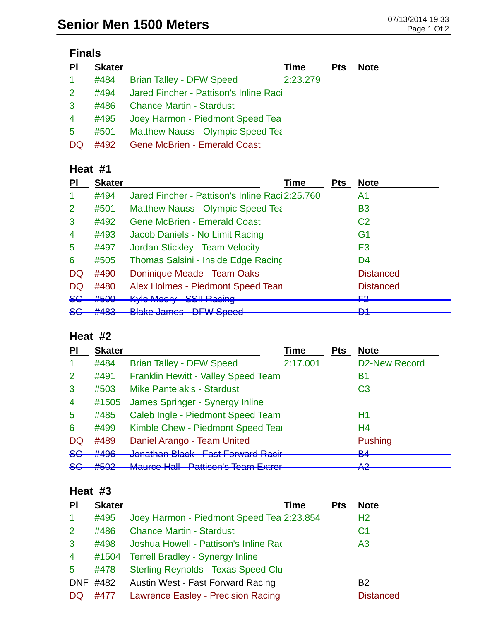### **Finals**

| <b>PI</b>      | <b>Skater</b> |                                          | Time     | <b>Pts</b> | <b>Note</b> |
|----------------|---------------|------------------------------------------|----------|------------|-------------|
| $\mathbf{1}$   | #484          | <b>Brian Talley - DFW Speed</b>          | 2:23.279 |            |             |
| 2 <sup>1</sup> | #494          | Jared Fincher - Pattison's Inline Raci   |          |            |             |
| $\mathbf{3}$   | #486          | <b>Chance Martin - Stardust</b>          |          |            |             |
| $\overline{4}$ | #495          | Joey Harmon - Piedmont Speed Tear        |          |            |             |
| 5              | #501          | <b>Matthew Nauss - Olympic Speed Tea</b> |          |            |             |
| DQ             | #492          | <b>Gene McBrien - Emerald Coast</b>      |          |            |             |

#### **Heat #1**

| PI             | <b>Skater</b>             | Time                                                                            | <b>Pts</b> | <b>Note</b>      |
|----------------|---------------------------|---------------------------------------------------------------------------------|------------|------------------|
|                | #494                      | Jared Fincher - Pattison's Inline Raci 2:25.760                                 |            | A1               |
| 2              | #501                      | <b>Matthew Nauss - Olympic Speed Tea</b>                                        |            | <b>B3</b>        |
| 3              | #492                      | <b>Gene McBrien - Emerald Coast</b>                                             |            | C <sub>2</sub>   |
| $\overline{4}$ | #493                      | Jacob Daniels - No Limit Racing                                                 |            | G <sub>1</sub>   |
| 5              | #497                      | Jordan Stickley - Team Velocity                                                 |            | E <sub>3</sub>   |
| 6              | #505                      | Thomas Salsini - Inside Edge Racing                                             |            | D <sub>4</sub>   |
| DQ             | #490                      | Doninique Meade - Team Oaks                                                     |            | <b>Distanced</b> |
| DQ             | #480                      | Alex Holmes - Piedmont Speed Tean                                               |            | <b>Distanced</b> |
| <del>SG</del>  | #500                      | Kyle Moery<br><b>SSII Racing</b>                                                |            | <u>רים</u><br>ГА |
| <del>SG</del>  | 4400<br><del>11 TOJ</del> | <b>Plake James DEW Speed</b><br><u>DI II Upoca</u><br><del>טטוווט טעווווט</del> |            | D1<br>◘          |

# **Heat #2**

| <b>PI</b>      | <b>Skater</b>             |                                                                            | <b>Time</b> | <b>Pts</b> | <b>Note</b>          |
|----------------|---------------------------|----------------------------------------------------------------------------|-------------|------------|----------------------|
| -1             | #484                      | <b>Brian Talley - DFW Speed</b>                                            | 2:17.001    |            | <b>D2-New Record</b> |
| 2              | #491                      | Franklin Hewitt - Valley Speed Team                                        |             |            | Β1                   |
| 3              | #503                      | <b>Mike Pantelakis - Stardust</b>                                          |             |            | C <sub>3</sub>       |
| $\overline{4}$ | #1505                     | James Springer - Synergy Inline                                            |             |            |                      |
| $\overline{5}$ | #485                      | Caleb Ingle - Piedmont Speed Team                                          |             |            | Η1                   |
| 6              | #499                      | Kimble Chew - Piedmont Speed Tear                                          |             |            | H4                   |
| DQ             | #489                      | Daniel Arango - Team United                                                |             |            | <b>Pushing</b>       |
| <del>SG</del>  | #496                      | Jonathan Plack Foot Forward Pacir<br><u>UVITION TOIT DICION</u>            |             |            | D A<br>▱▾            |
| <del>SG</del>  | $H E \cap \Omega$<br>ℼӚѶӔ | Mouros Holl Dotticon's Toom Extrar<br>muunuu rum<br>allisul shealli Latici |             |            | Λ0<br>TV             |

#### **Heat #3**

| <b>PI</b>      | <b>Skater</b> | <b>Time</b>                                | Pts | <b>Note</b>      |
|----------------|---------------|--------------------------------------------|-----|------------------|
| $\overline{1}$ | #495          | Joey Harmon - Piedmont Speed Tea 2:23.854  |     | H <sub>2</sub>   |
| $\overline{2}$ | #486          | <b>Chance Martin - Stardust</b>            |     | C <sub>1</sub>   |
| $\mathbf{3}$   | #498          | Joshua Howell - Pattison's Inline Rac      |     | A <sub>3</sub>   |
| $\overline{4}$ |               | #1504 Terrell Bradley - Synergy Inline     |     |                  |
| 5              | #478          | <b>Sterling Reynolds - Texas Speed Clu</b> |     |                  |
| <b>DNF</b>     | #482          | Austin West - Fast Forward Racing          |     | B <sub>2</sub>   |
| DQ.            | #477          | <b>Lawrence Easley - Precision Racing</b>  |     | <b>Distanced</b> |